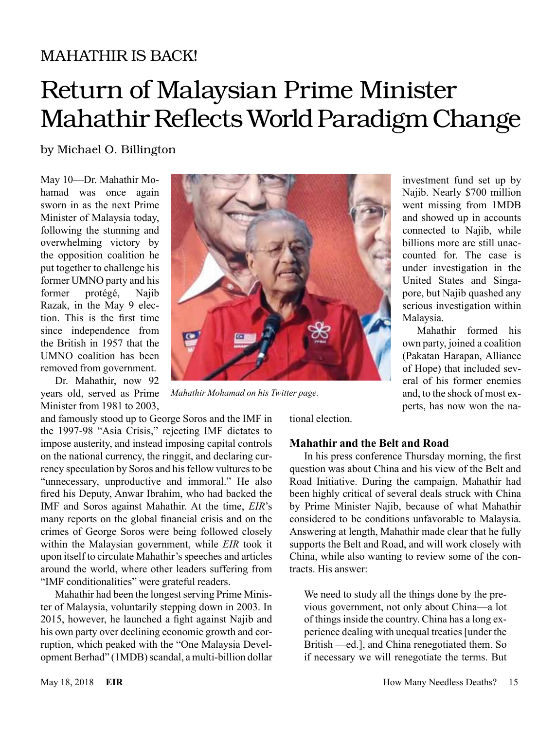# MAHATHIR IS BACK!

# Return of Malaysian Prime Minister Mahathir Reflects World Paradigm Change

by Michael O. Billington

May 10—Dr. Mahathir Mohamad was once again sworn in as the next Prime Minister of Malaysia today, following the stunning and overwhelming victory by the opposition coalition he put together to challenge his former UMNO party and his former protégé, Najib Razak, in the May 9 election. This is the first time since independence from the British in 1957 that the UMNO coalition has been removed from government.

Dr. Mahathir, now 92 years old, served as Prime Minister from 1981 to 2003,

and famously stood up to George Soros and the IMF in the 1997-98 "Asia Crisis," rejecting IMF dictates to impose austerity, and instead imposing capital controls on the national currency, the ringgit, and declaring currency speculation by Soros and his fellow vultures to be "unnecessary, unproductive and immoral." He also fired his Deputy, Anwar Ibrahim, who had backed the IMF and Soros against Mahathir. At the time, *EIR*'s many reports on the global financial crisis and on the crimes of George Soros were being followed closely within the Malaysian government, while *EIR* took it upon itself to circulate Mahathir's speeches and articles around the world, where other leaders suffering from "IMF conditionalities" were grateful readers.

Mahathir had been the longest serving Prime Minister of Malaysia, voluntarily stepping down in 2003. In 2015, however, he launched a fight against Najib and his own party over declining economic growth and corruption, which peaked with the "One Malaysia Development Berhad" (1MDB) scandal, a multi-billion dollar



*Mahathir Mohamad on his Twitter page.*

investment fund set up by Najib. Nearly \$700 million went missing from 1MDB and showed up in accounts connected to Najib, while billions more are still unaccounted for. The case is under investigation in the United States and Singapore, but Najib quashed any serious investigation within Malaysia.

Mahathir formed his own party, joined a coalition (Pakatan Harapan, Alliance of Hope) that included several of his former enemies and, to the shock of most experts, has now won the na-

tional election.

### **Mahathir and the Belt and Road**

In his press conference Thursday morning, the first question was about China and his view of the Belt and Road Initiative. During the campaign, Mahathir had been highly critical of several deals struck with China by Prime Minister Najib, because of what Mahathir considered to be conditions unfavorable to Malaysia. Answering at length, Mahathir made clear that he fully supports the Belt and Road, and will work closely with China, while also wanting to review some of the contracts. His answer:

We need to study all the things done by the previous government, not only about China—a lot of things inside the country. China has a long experience dealing with unequal treaties [under the British —ed.], and China renegotiated them. So if necessary we will renegotiate the terms. But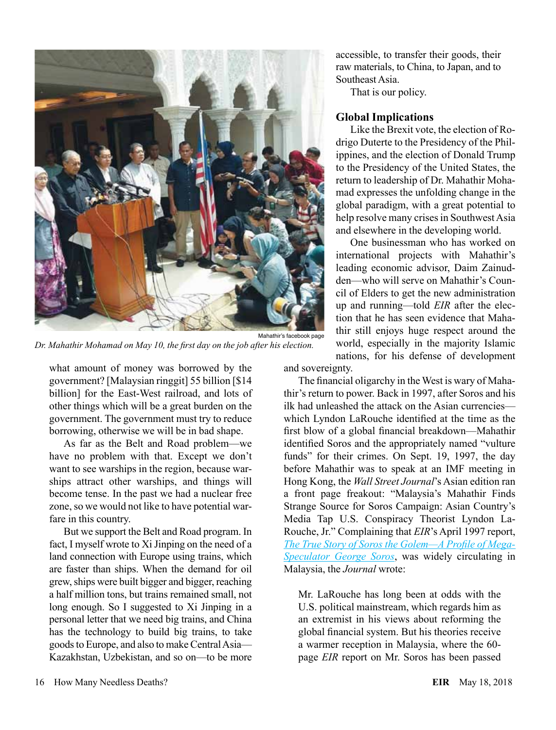

Mahathir's facebook page *Dr. Mahathir Mohamad on May 10, the first day on the job after his election.*

what amount of money was borrowed by the government? [Malaysian ringgit] 55 billion [\$14 billion] for the East-West railroad, and lots of other things which will be a great burden on the government. The government must try to reduce borrowing, otherwise we will be in bad shape.

As far as the Belt and Road problem—we have no problem with that. Except we don't want to see warships in the region, because warships attract other warships, and things will become tense. In the past we had a nuclear free zone, so we would not like to have potential warfare in this country.

But we support the Belt and Road program. In fact, I myself wrote to Xi Jinping on the need of a land connection with Europe using trains, which are faster than ships. When the demand for oil grew, ships were built bigger and bigger, reaching a half million tons, but trains remained small, not long enough. So I suggested to Xi Jinping in a personal letter that we need big trains, and China has the technology to build big trains, to take goods to Europe, and also to make Central Asia— Kazakhstan, Uzbekistan, and so on—to be more accessible, to transfer their goods, their raw materials, to China, to Japan, and to Southeast Asia.

That is our policy.

#### **Global Implications**

Like the Brexit vote, the election of Rodrigo Duterte to the Presidency of the Philippines, and the election of Donald Trump to the Presidency of the United States, the return to leadership of Dr. Mahathir Mohamad expresses the unfolding change in the global paradigm, with a great potential to help resolve many crises in Southwest Asia and elsewhere in the developing world.

One businessman who has worked on international projects with Mahathir's leading economic advisor, Daim Zainudden—who will serve on Mahathir's Council of Elders to get the new administration up and running—told *EIR* after the election that he has seen evidence that Mahathir still enjoys huge respect around the world, especially in the majority Islamic nations, for his defense of development

and sovereignty.

The financial oligarchy in the West is wary of Mahathir's return to power. Back in 1997, after Soros and his ilk had unleashed the attack on the Asian currencies which Lyndon LaRouche identified at the time as the first blow of a global financial breakdown—Mahathir identified Soros and the appropriately named "vulture funds" for their crimes. On Sept. 19, 1997, the day before Mahathir was to speak at an IMF meeting in Hong Kong, the *Wall Street Journal*'s Asian edition ran a front page freakout: "Malaysia's Mahathir Finds Strange Source for Soros Campaign: Asian Country's Media Tap U.S. Conspiracy Theorist Lyndon La-Rouche, Jr." Complaining that *EIR*'s April 1997 report, *[The True Story of Soros the Golem—A Profile of Mega-](http://www.larouchepub.com/pr/1997/special_report_97001.html)[Speculator George Soros](http://www.larouchepub.com/pr/1997/special_report_97001.html)*, was widely circulating in Malaysia, the *Journal* wrote:

Mr. LaRouche has long been at odds with the U.S. political mainstream, which regards him as an extremist in his views about reforming the global financial system. But his theories receive a warmer reception in Malaysia, where the 60 page *EIR* report on Mr. Soros has been passed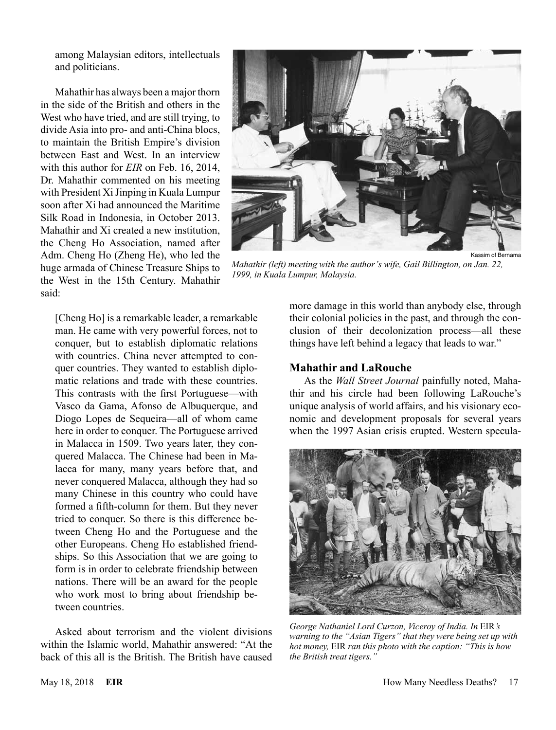among Malaysian editors, intellectuals and politicians.

Mahathir has always been a major thorn in the side of the British and others in the West who have tried, and are still trying, to divide Asia into pro- and anti-China blocs, to maintain the British Empire's division between East and West. In an interview with this author for *EIR* on Feb. 16, 2014, Dr. Mahathir commented on his meeting with President Xi Jinping in Kuala Lumpur soon after Xi had announced the Maritime Silk Road in Indonesia, in October 2013. Mahathir and Xi created a new institution, the Cheng Ho Association, named after Adm. Cheng Ho (Zheng He), who led the huge armada of Chinese Treasure Ships to the West in the 15th Century. Mahathir said:

[Cheng Ho] is a remarkable leader, a remarkable man. He came with very powerful forces, not to conquer, but to establish diplomatic relations with countries. China never attempted to conquer countries. They wanted to establish diplomatic relations and trade with these countries. This contrasts with the first Portuguese—with Vasco da Gama, Afonso de Albuquerque, and Diogo Lopes de Sequeira—all of whom came here in order to conquer. The Portuguese arrived in Malacca in 1509. Two years later, they conquered Malacca. The Chinese had been in Malacca for many, many years before that, and never conquered Malacca, although they had so many Chinese in this country who could have formed a fifth-column for them. But they never tried to conquer. So there is this difference between Cheng Ho and the Portuguese and the other Europeans. Cheng Ho established friendships. So this Association that we are going to form is in order to celebrate friendship between nations. There will be an award for the people who work most to bring about friendship between countries.

Asked about terrorism and the violent divisions within the Islamic world, Mahathir answered: "At the back of this all is the British. The British have caused



*Mahathir (left) meeting with the author's wife, Gail Billington, on Jan. 22, 1999, in Kuala Lumpur, Malaysia.*

more damage in this world than anybody else, through their colonial policies in the past, and through the conclusion of their decolonization process—all these things have left behind a legacy that leads to war."

#### **Mahathir and LaRouche**

As the *Wall Street Journal* painfully noted, Mahathir and his circle had been following LaRouche's unique analysis of world affairs, and his visionary economic and development proposals for several years when the 1997 Asian crisis erupted. Western specula-



*George Nathaniel Lord Curzon, Viceroy of India. In* EIR*'s warning to the "Asian Tigers" that they were being set up with hot money,* EIR *ran this photo with the caption: "This is how the British treat tigers."*